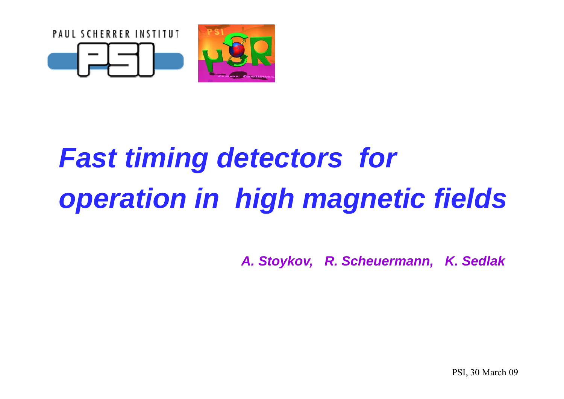

# *Fast timing detectors for operation in high magnetic fields*

*A. Stoykov, R. Scheuermann, K. Sedlak* 

PSI, 30 March 09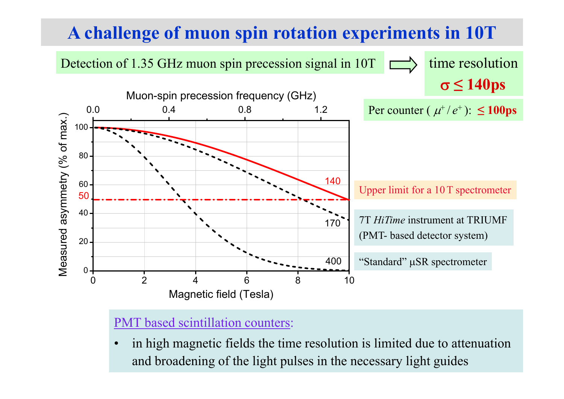# **A challenge of muon spin rotation experiments in 10T**



### PMT based scintillation counters:

• in high magnetic fields the time resolution is limited due to attenuation and broadening of the light pulses in the necessary light guides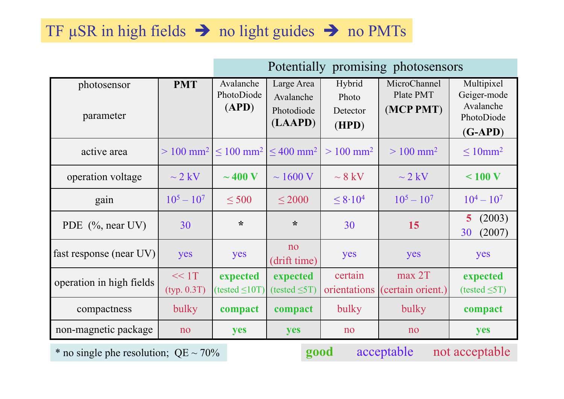# TF  $\mu$ SR in high fields  $\rightarrow$  no light guides  $\rightarrow$  no PMTs

|                          |                      | Potentially promising photosensors                 |                                                  |                                      |                                                         |                                                                   |
|--------------------------|----------------------|----------------------------------------------------|--------------------------------------------------|--------------------------------------|---------------------------------------------------------|-------------------------------------------------------------------|
| photosensor<br>parameter | <b>PMT</b>           | Avalanche<br>PhotoDiode<br>(APD)                   | Large Area<br>Avalanche<br>Photodiode<br>(LAAPD) | Hybrid<br>Photo<br>Detector<br>(HPD) | MicroChannel<br>Plate PMT<br>(MCP PMT)                  | Multipixel<br>Geiger-mode<br>Avalanche<br>PhotoDiode<br>$(G-APD)$ |
| active area              |                      | $> 100$ mm <sup>2</sup> $\leq 100$ mm <sup>2</sup> | $\leq 400$ mm <sup>2</sup>                       | $> 100$ mm <sup>2</sup>              | $> 100$ mm <sup>2</sup>                                 | $\leq 10$ mm <sup>2</sup>                                         |
| operation voltage        | $\sim$ 2 kV          | $\sim$ 400 V                                       | $\sim$ 1600 V                                    | $\sim 8~{\rm kV}$                    | $\sim$ 2 kV                                             | < 100 V                                                           |
| gain                     | $10^5 - 10^7$        | $\leq 500$                                         | $\leq$ 2000                                      | $\leq 8.10^4$                        | $10^5 - 10^7$                                           | $10^4 - 10^7$                                                     |
| PDE $(\%$ , near UV)     | 30                   | $\star$                                            | $\star$                                          | 30                                   | 15                                                      | (2003)<br>5 <sup>1</sup><br>(2007)<br>30                          |
| fast response (near UV)  | yes                  | yes                                                | no<br>(drift time)                               | yes                                  | yes                                                     | yes                                                               |
| operation in high fields | << 1T<br>(typ. 0.3T) | expected<br>$(tested \leq 10T)$                    | expected<br>$(tested \leq 5T)$                   | certain<br>orientations              | max 2T<br>(certain orient.)                             | expected<br>(tested $\leq$ 5T)                                    |
| compactness              | bulky                | compact                                            | compact                                          | bulky                                | bulky                                                   | compact                                                           |
| non-magnetic package     | no                   | yes                                                | yes                                              | no                                   | no                                                      | yes                                                               |
|                          |                      |                                                    |                                                  | a a albu                             | $\sim$ $\sim$ $\sim$ $\sim$ $\sim$ $\sim$ $\sim$ $\sim$ | . <i>.</i> 1. 1 .                                                 |

\* no single phe resolution; QE ~ 70% **good** acceptable not acceptable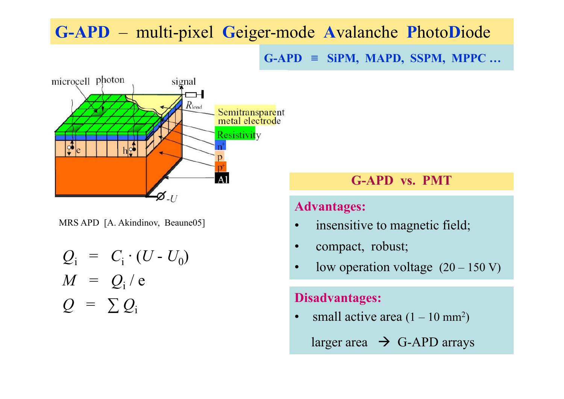# **G-APD ≡ SiPM, MAPD, SSPM, MPPC … , ,, G-APD** – multi-pixel **G**eiger-mode **A**valanche **P**hoto**D**iode





$$
Q_i = C_i \cdot (U - U_0)
$$
  
\n
$$
M = Q_i / e
$$
  
\n
$$
Q = \sum Q_i
$$
  
\n
$$
O
$$
  
\n
$$
O
$$
  
\n
$$
O
$$
  
\n
$$
O
$$
  
\n
$$
O
$$
  
\n
$$
O
$$
  
\n
$$
O
$$
  
\n
$$
O
$$
  
\n
$$
O
$$
  
\n
$$
O
$$
  
\n
$$
O
$$
  
\n
$$
O
$$
  
\n
$$
O
$$
  
\n
$$
O
$$
  
\n
$$
O
$$
  
\n
$$
O
$$
  
\n
$$
O
$$
  
\n
$$
O
$$
  
\n
$$
O
$$
  
\n
$$
O
$$
  
\n
$$
O
$$
  
\n
$$
O
$$
  
\n
$$
O
$$
  
\n
$$
O
$$
  
\n
$$
O
$$
  
\n
$$
O
$$
  
\n
$$
O
$$
  
\n
$$
O
$$
  
\n
$$
O
$$
  
\n
$$
O
$$
  
\n
$$
O
$$
  
\n
$$
O
$$
  
\n
$$
O
$$
  
\n
$$
O
$$
  
\n
$$
O
$$
  
\n
$$
O
$$
  
\n
$$
O
$$
  
\n
$$
O
$$
  
\n
$$
O
$$
  
\n
$$
O
$$
  
\n
$$
O
$$
  
\n
$$
O
$$
  
\n
$$
O
$$
  
\n
$$
O
$$
  
\n
$$
O
$$
  
\n
$$
O
$$
  
\n
$$
O
$$
  
\n
$$
O
$$
  
\n
$$
O
$$
  
\n
$$
O
$$
  
\n
$$
O
$$
  
\n
$$
O
$$
  
\n
$$
O
$$
  
\n
$$
O
$$
  
\n

### **G-APD vs. PMT**

### **Advantages:**

- •insensitive to magnetic field;
- $\bullet$
- •low operation voltage  $(20 - 150 V)$

### **Disadvantages:**

 $\bullet$ small active area  $(1 - 10 \text{ mm}^2)$ 

larger area  $\rightarrow$  G-APD arrays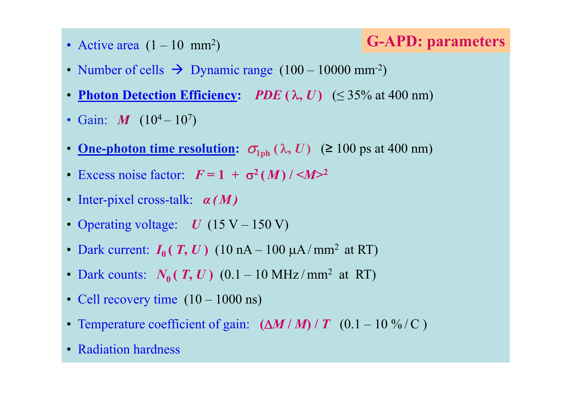• Active area

# (1 – <sup>10</sup> mm2) **G-APD: parameters**

- Number of cells  $\rightarrow$  Dynamic range  $(100 10000 \text{ mm}^2)$
- **Photon Detection Efficiency:** *PDE* **(** λ**,** *U* **)** (≤ 35% at 400 nm)
- Gain: *M* (10<sup>4</sup> 10<sup>7</sup>)
- <u>One-photon time resolution:</u>  $\sigma_{\text{1ph}}(\lambda, U)$  (≥ 100 ps at 400 nm)
- Excess noise factor:  $F = 1 + \sigma^2(M) / \langle M \rangle^2$
- Inter-pixel cross pixel cross-talk: *<sup>α</sup> ( M )*
- Operating voltage: *U* (15 V 150 V)
- Dark current:  $I_0(T, U)$  (10 nA 100  $\mu$ A/mm<sup>2</sup> at RT)
- Dark counts:  $N_0(T, U)$  (0.1 10 MHz/mm<sup>2</sup> at RT)
- Cell recovery time  $(10 1000 \text{ ns})$
- Temperature coefficient of gain:  $(\Delta M/M)/T$  (0.1 10 %/C)
- Radiation hardness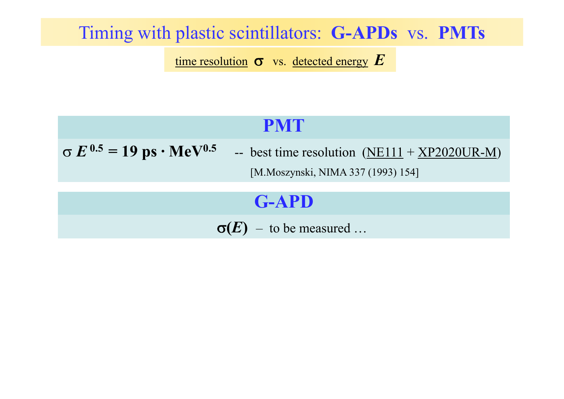# Timing with plastic scintillators: **G-APDs** vs. **PMTs**

time resolution σ vs. detected energy *E*

# **PMT**

 $\sigma E^{0.5} = 19 \text{ ps} \cdot \text{MeV}^{0.5}$  -- best time resolution (NE111 + XP2020UR-M) [M.Moszynski, NIMA 337 (1993) 154]

# **G APD -APD**

 $\sigma(E)$  – to be measured …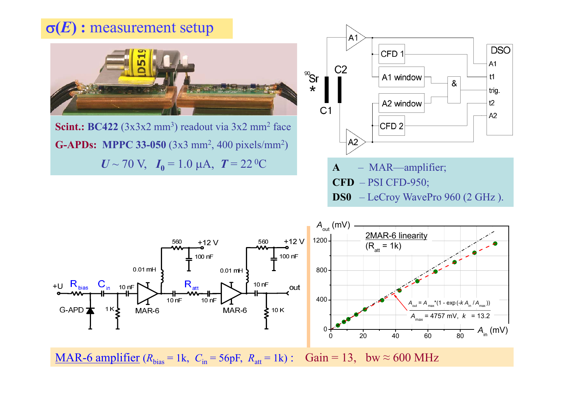



MAR-6 amplifier  $(R_{bias} = 1k, C_{in} = 56p$ F,  $R_{att} = 1k)$ : Gain = 13, bw  $\approx 600$  MHz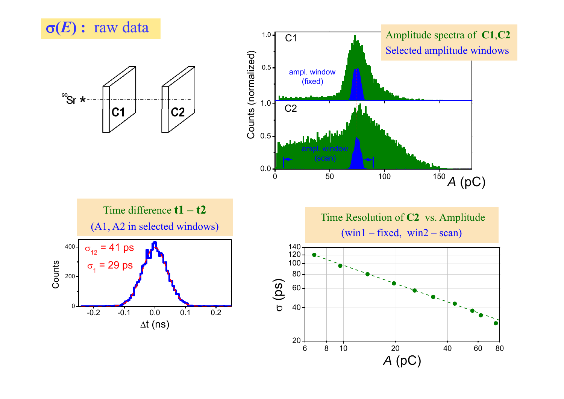

<sup>90</sup>Sr ≯





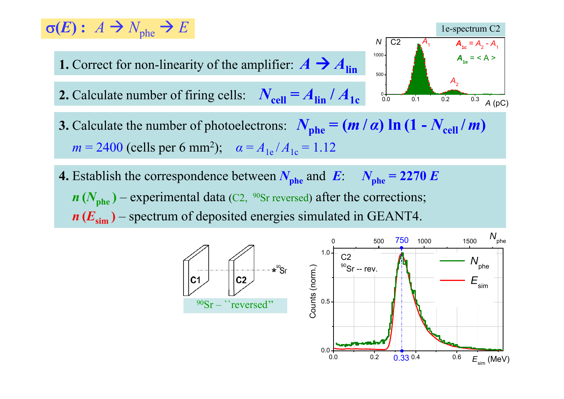#### $\sigma(E): A \to N_{\text{mhe}} \to E$ **1.** Correct for non-linearity of the amplifier:  $A \rightarrow A_{lin}$ 1000 $A_{1e} = < A >$  $N \mid C2 \qquad A_1 \qquad A_{1c} = A_2 - A_1$ 1e-spectrum C2 **2.** Calculate number of firing cells:  $N_{cell} = A_{lin} / A_{1c}$   $\underset{0.0}{\overset{\circ}{0.0}}$   $\underset{0.1}{\overset{\circ}{0.1}}$   $\underset{0.2}{\overset{\circ}{0.3}}$ 500 $\mathsf{A}_{2}$  $\overline{0.3}$  *A* (pC)

- **3.** Calculate the number of photoelectrons:  $N_{\text{phe}} = (m/a) \ln (1 N_{\text{cell}}/m)$  $m = 2400$  (cells per 6 mm<sup>2</sup>);  $\alpha = A_{1e}/A_{1c} = 1.12$
- **4.** Establish the correspondence between  $N_{\text{phe}}$  and  $E: N_{\text{phe}} = 2270 E$  $n(N_{\text{phe}})$  – experimental data (C2,  $^{90}$ Sr reversed) after the corrections; *n* **(***E***sim )** – spectrum of deposited energies simulated in GEANT4.

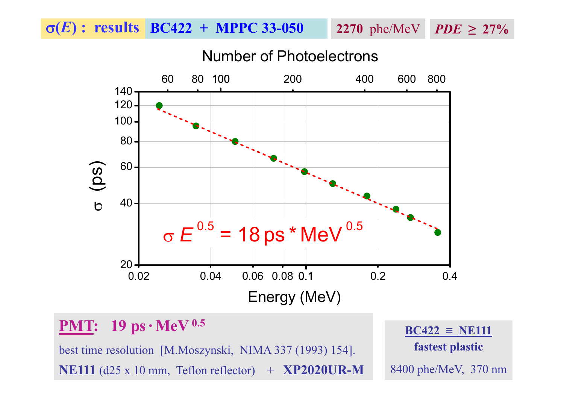<sup>σ</sup>**(***E***) : results BC422 + MPPC 33-050**

**2270**  $phe/MeV$  *PDE* $\geq 27\%$ 

## Number of Photoelectrons



# **PMT: 19 ps**  $\cdot$ **MeV** <sup>0.5</sup> **BC422 ≡ NE111**

best time resolution [M.Moszynski, NIMA 337 (1993) 154]. **NE111** (d25 x 10 mm, Teflon reflector) + **XP2020UR-M**

**fastest plastic** 8400 phe/MeV, 370 nm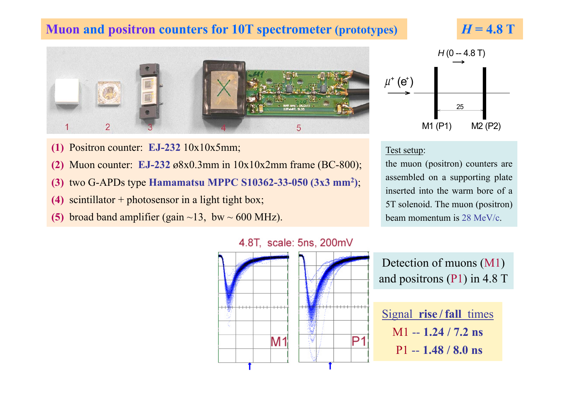### **Muon and positron counters for 10T spectrometer (prototypes)**







- $(1)$  Positron counter: **EJ-232**  $10x10x5mm;$
- **(2)** Muon counter: **EJ-232** ø8x0.3mm in 10x10x2mm frame (BC-800);
- **(3)** two G-APDs type **Hamamatsu MPPC S10362-33-050 (3x3 mm2)**;
- **(4)** scintillator + photosensor in a light tight box; 5T solenoid. The muon (positron)
- **(5)** broad band amplifier (gain  $\sim$ 13, bw  $\sim$  600 MHz).



the muon (positron) counters are assembled on <sup>a</sup> supporting plate inserted into the warm bore of <sup>a</sup>beam momentum is 28 MeV/c.



#### 4.8T, scale: 5ns, 200mV

| Detection of muons (M1)       |  |
|-------------------------------|--|
| and positrons $(P1)$ in 4.8 T |  |

| Signal rise/fall times |
|------------------------|
| $M1 - 1.24 / 7.2$ ns   |
| $P1 - 1.48 / 8.0$ ns   |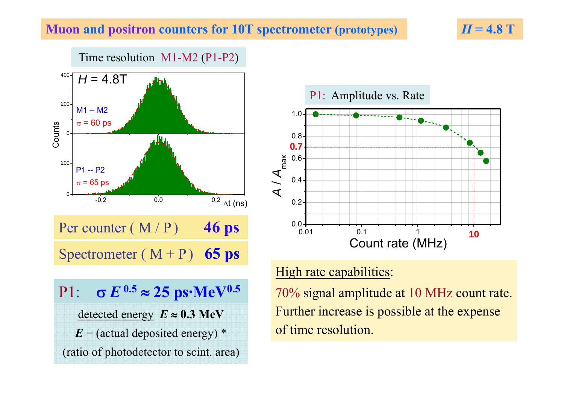### **Muon and positron counters for 10T spectrometer (prototypes)**

Time resolution M1-M2 (P1-P2) 200 400M1 -- M2 *H* = 4.8T 0 $\sigma$  = 60 ps  $\frac{22}{5}$   $\circ$   $\frac{\sigma = 60 \text{ ps}}{20}$  0.8  $-0.2$  $-0.2$   $0.0$   $0.2$   $\Delta t$  (ns) 0200 $\sigma$  = 65 ps P1 -- P2 Per counter  $(M / P)$  **46 ps**  $0.01 + 0.11 + 0.1$ Spectrometer  $(M + P)$  **65 ps** 

# $P1:$  **σ**  $E^{0.5} ≈ 25$  ps•MeV<sup>0.5</sup> 20%

detected energy  $E \approx 0.3$  MeV

 $E = (actual$  deposited energy)  $*$ 

(ratio of photodetector to scint. area)





## High rate capabilities:

**70% signal amplitude at 10 MHz count rate.** Further increase is possible at the expense of time resolution.

*H* **= 4.8 T**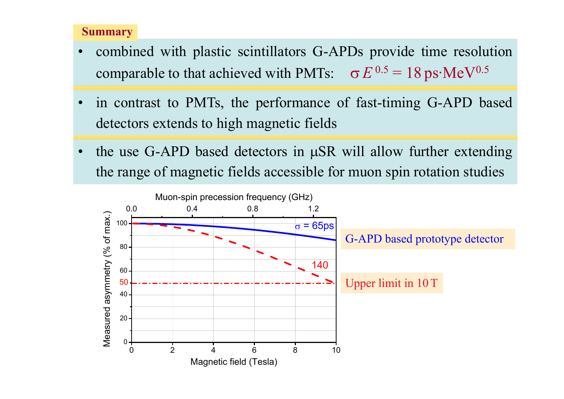### **Summary**

- • combined with plastic scintillators G-APDs provide time resolution comparable to that achieved with PMTs:  $\sigma E^{0.5} = 18 \,\text{ps}\cdot\text{MeV}^{0.5}$
- • in contrast to PMTs, the performance of fast-timin g G-APD base d detectors extends to high magnetic fields
- •• the use G-APD based detectors in μSR will allow further extending the range of magnetic fields accessible for muon spin rotation studies

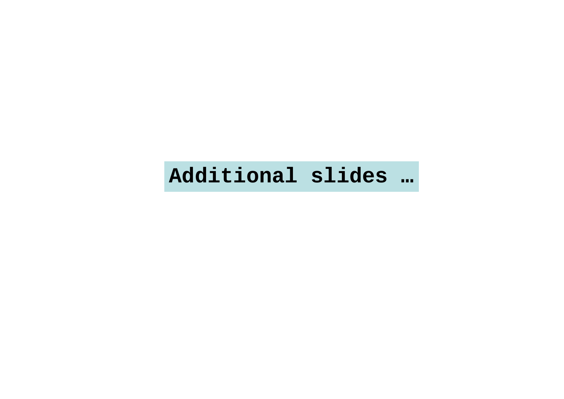# **Additional slides …**